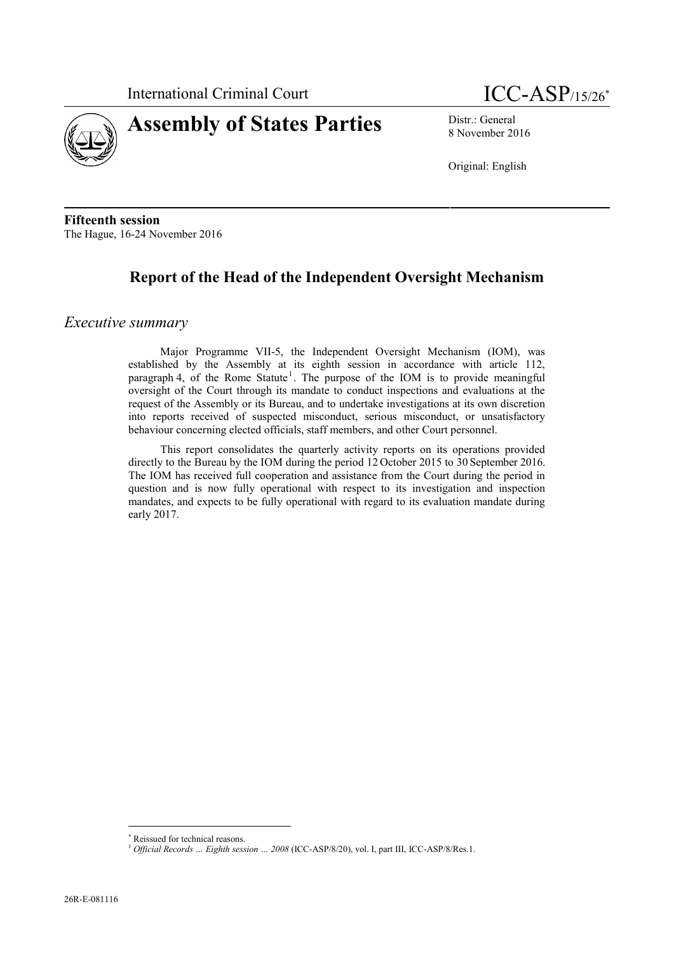



8 November 2016

Original: English

**Fifteenth session** The Hague, 16-24 November 2016

# **Report of the Head of the Independent Oversight Mechanism**

#### *Executive summary*

Major Programme VII-5, the Independent Oversight Mechanism (IOM), was established by the Assembly at its eighth session in accordance with article 112, paragraph 4, of the Rome Statute<sup>1</sup>. The purpose of the IOM is to provide meaningful oversight of the Court through its mandate to conduct inspections and evaluations at the request of the Assembly or its Bureau, and to undertake investigations at its own discretion into reports received of suspected misconduct, serious misconduct, or unsatisfactory behaviour concerning elected officials, staff members, and other Court personnel.

This report consolidates the quarterly activity reports on its operations provided directly to the Bureau by the IOM during the period 12 October 2015 to 30 September 2016. The IOM has received full cooperation and assistance from the Court during the period in question and is now fully operational with respect to its investigation and inspection mandates, and expects to be fully operational with regard to its evaluation mandate during early 2017.

Reissued for technical reasons. <sup>1</sup> *Official Records … Eighth session … <sup>2008</sup>* (ICC-ASP/8/20), vol. I, part III, ICC-ASP/8/Res.1.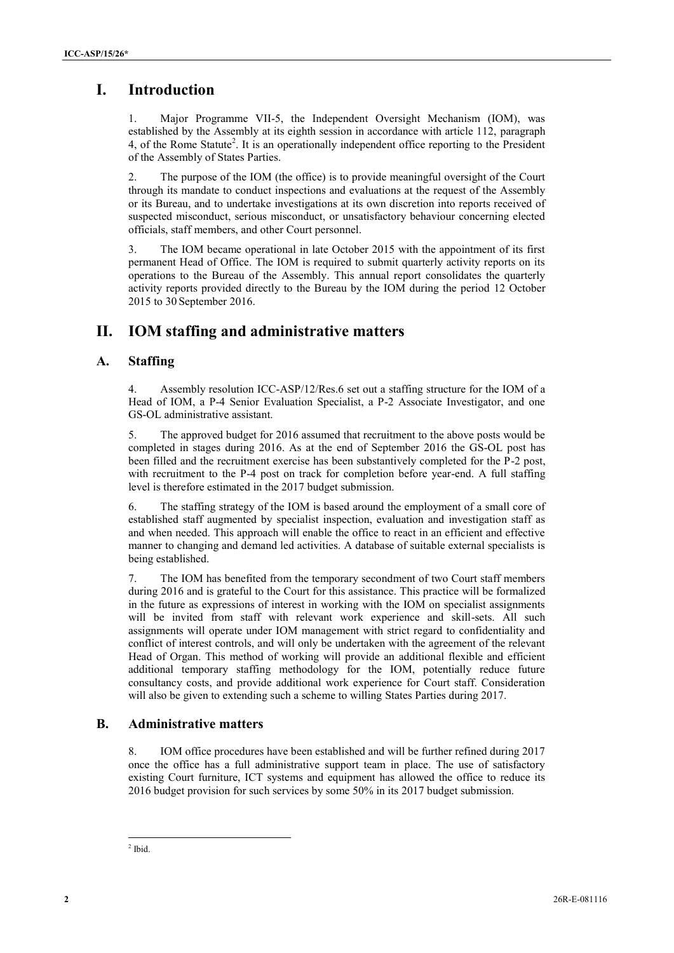# **I. Introduction**

1. Major Programme VII-5, the Independent Oversight Mechanism (IOM), was established by the Assembly at its eighth session in accordance with article 112, paragraph 4, of the Rome Statute<sup>2</sup>. It is an operationally independent office reporting to the President of the Assembly of States Parties.

2. The purpose of the IOM (the office) is to provide meaningful oversight of the Court through its mandate to conduct inspections and evaluations at the request of the Assembly or its Bureau, and to undertake investigations at its own discretion into reports received of suspected misconduct, serious misconduct, or unsatisfactory behaviour concerning elected officials, staff members, and other Court personnel.

3. The IOM became operational in late October 2015 with the appointment of its first permanent Head of Office. The IOM is required to submit quarterly activity reports on its operations to the Bureau of the Assembly. This annual report consolidates the quarterly activity reports provided directly to the Bureau by the IOM during the period 12 October 2015 to 30 September 2016.

# **II. IOM staffing and administrative matters**

#### **A. Staffing**

4. Assembly resolution ICC-ASP/12/Res.6 set out a staffing structure for the IOM of a Head of IOM, a P-4 Senior Evaluation Specialist, a P-2 Associate Investigator, and one GS-OL administrative assistant.

5. The approved budget for 2016 assumed that recruitment to the above posts would be completed in stages during 2016. As at the end of September 2016 the GS-OL post has been filled and the recruitment exercise has been substantively completed for the P-2 post, with recruitment to the P-4 post on track for completion before year-end. A full staffing level is therefore estimated in the 2017 budget submission.

6. The staffing strategy of the IOM is based around the employment of a small core of established staff augmented by specialist inspection, evaluation and investigation staff as and when needed. This approach will enable the office to react in an efficient and effective manner to changing and demand led activities. A database of suitable external specialists is being established.

**1.** Latroduction<br>
2. Latroduction Terms VHS. the lateraction Oversight Machines (ON) was<br>
2. Collection by the second state and systems are considered in the page of<br>
4. of the forms Subject State Transportation between 7. The IOM has benefited from the temporary secondment of two Court staff members during 2016 and is grateful to the Court for this assistance. This practice will be formalized in the future as expressions of interest in working with the IOM on specialist assignments will be invited from staff with relevant work experience and skill-sets. All such assignments will operate under IOM management with strict regard to confidentiality and conflict of interest controls, and will only be undertaken with the agreement of the relevant Head of Organ. This method of working will provide an additional flexible and efficient additional temporary staffing methodology for the IOM, potentially reduce future consultancy costs, and provide additional work experience for Court staff. Consideration will also be given to extending such a scheme to willing States Parties during 2017.

#### **B. Administrative matters**

8. IOM office procedures have been established and will be further refined during 2017 once the office has a full administrative support team in place. The use of satisfactory existing Court furniture, ICT systems and equipment has allowed the office to reduce its 2016 budget provision for such services by some 50% in its 2017 budget submission.

<sup>2</sup> Ibid.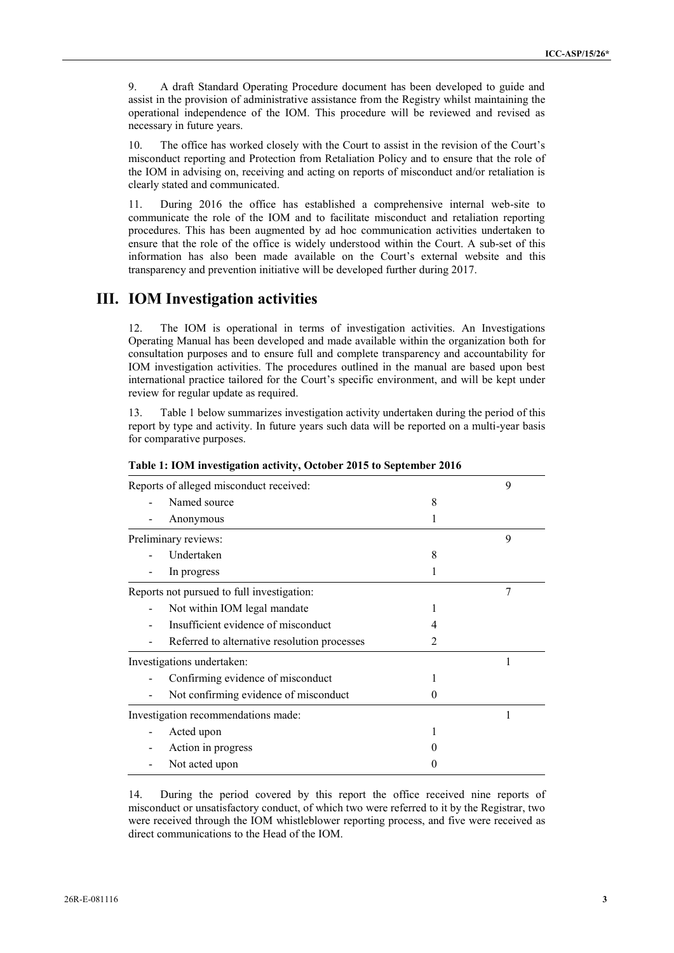9. A draft Standard Operating Procedure document has been developed to guide and assist in the provision of administrative assistance from the Registry whilst maintaining the operational independence of the IOM. This procedure will be reviewed and revised as necessary in future years.

10. The office has worked closely with the Court to assist in the revision of the Court's misconduct reporting and Protection from Retaliation Policy and to ensure that the role of the IOM in advising on, receiving and acting on reports of misconduct and/or retaliation is clearly stated and communicated.

11. During 2016 the office has established a comprehensive internal web-site to communicate the role of the IOM and to facilitate misconduct and retaliation reporting procedures. This has been augmented by ad hoc communication activities undertaken to ensure that the role of the office is widely understood within the Court. A sub-set of this information has also been made available on the Court's external website and this transparency and prevention initiative will be developed further during 2017.

# **III. IOM Investigation activities**

12. The IOM is operational in terms of investigation activities. An Investigations Operating Manual has been developed and made available within the organization both for consultation purposes and to ensure full and complete transparency and accountability for IOM investigation activities. The procedures outlined in the manual are based upon best international practice tailored for the Court's specific environment, and will be kept under review for regular update as required.

13. Table 1 below summarizes investigation activity undertaken during the period of this report by type and activity. In future years such data will be reported on a multi-year basis for comparative purposes.

| Reports of alleged misconduct received:      |   | 9 |
|----------------------------------------------|---|---|
| Named source                                 | 8 |   |
| Anonymous                                    |   |   |
| Preliminary reviews:                         |   | 9 |
| Undertaken                                   | 8 |   |
| In progress                                  |   |   |
| Reports not pursued to full investigation:   |   | 7 |
| Not within IOM legal mandate                 |   |   |
| Insufficient evidence of misconduct          | 4 |   |
| Referred to alternative resolution processes | 2 |   |
| Investigations undertaken:                   |   |   |
| Confirming evidence of misconduct            |   |   |
| Not confirming evidence of misconduct        | 0 |   |
| Investigation recommendations made:          |   |   |
| Acted upon                                   |   |   |
| Action in progress                           |   |   |
| Not acted upon                               |   |   |

**Table 1: IOM investigation activity, October 2015 to September 2016**

14. During the period covered by this report the office received nine reports of misconduct or unsatisfactory conduct, of which two were referred to it by the Registrar, two were received through the IOM whistleblower reporting process, and five were received as direct communications to the Head of the IOM.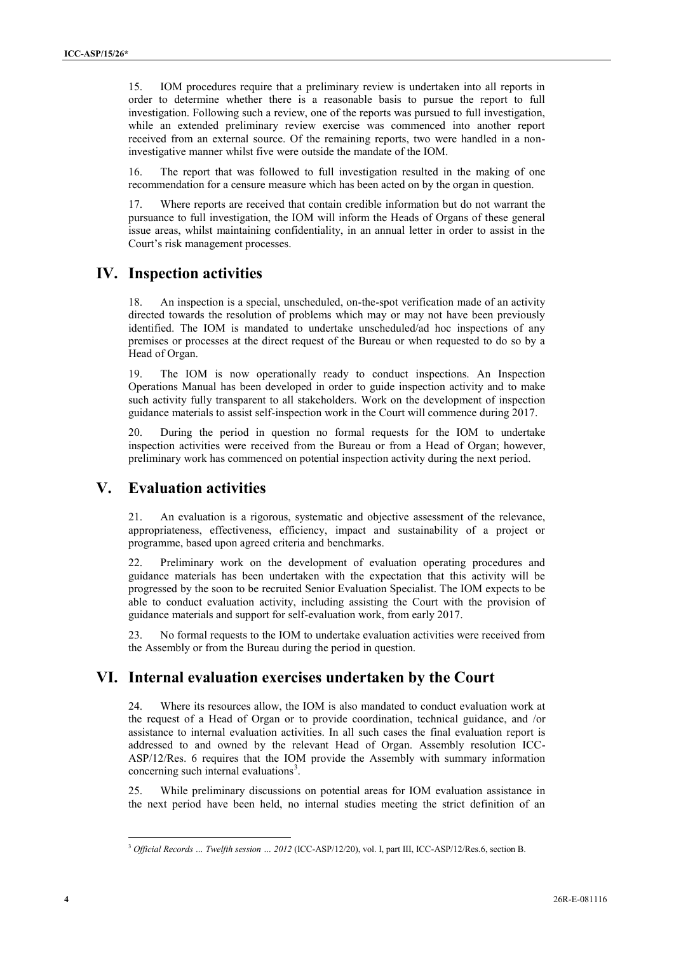15. IOM procedures require that a preliminary review is undertaken into all reports in <sup>4</sup> order to determine whether there is a reasonable basis to pursue the report to full investigation. Following such a review, one of the reports was pursued to full investigation, while an extended preliminary review exercise was commenced into another report received from an external source. Of the remaining reports, two were handled in a noninvestigative manner whilst five were outside the mandate of the IOM.

16. The report that was followed to full investigation resulted in the making of one recommendation for a censure measure which has been acted on by the organ in question.

17. Where reports are received that contain credible information but do not warrant the pursuance to full investigation, the IOM will inform the Heads of Organs of these general issue areas, whilst maintaining confidentiality, in an annual letter in order to assist in the Court's risk management processes.

# **IV. Inspection activities**

18. An inspection is a special, unscheduled, on-the-spot verification made of an activity directed towards the resolution of problems which may or may not have been previously identified. The IOM is mandated to undertake unscheduled/ad hoc inspections of any premises or processes at the direct request of the Bureau or when requested to do so by a Head of Organ.

19. The IOM is now operationally ready to conduct inspections. An Inspection Operations Manual has been developed in order to guide inspection activity and to make such activity fully transparent to all stakeholders. Work on the development of inspection guidance materials to assist self-inspection work in the Court will commence during 2017.

20. During the period in question no formal requests for the IOM to undertake inspection activities were received from the Bureau or from a Head of Organ; however, preliminary work has commenced on potential inspection activity during the next period.

### **V. Evaluation activities**

21. An evaluation is a rigorous, systematic and objective assessment of the relevance, appropriateness, effectiveness, efficiency, impact and sustainability of a project or programme, based upon agreed criteria and benchmarks.

22. Preliminary work on the development of evaluation operating procedures and guidance materials has been undertaken with the expectation that this activity will be progressed by the soon to be recruited Senior Evaluation Specialist. The IOM expects to be able to conduct evaluation activity, including assisting the Court with the provision of guidance materials and support for self-evaluation work, from early 2017.

23. No formal requests to the IOM to undertake evaluation activities were received from the Assembly or from the Bureau during the period in question.

### **VI. Internal evaluation exercises undertaken by the Court**

**13** (b) A securitive transformation is produced as produced as produced as the securities of the securities of the securities of the securities of the securities of the securities of the securities of the securities of t 24. Where its resources allow, the IOM is also mandated to conduct evaluation work at the request of a Head of Organ or to provide coordination, technical guidance, and /or assistance to internal evaluation activities. In all such cases the final evaluation report is addressed to and owned by the relevant Head of Organ. Assembly resolution ICC- ASP/12/Res. 6 requires that the IOM provide the Assembly with summary information concerning such internal evaluations<sup>3</sup>.

25. While preliminary discussions on potential areas for IOM evaluation assistance in the next period have been held, no internal studies meeting the strict definition of an

<sup>3</sup> *Official Records … Twelfth session … 2012* (ICC-ASP/12/20), vol. I, part III, ICC-ASP/12/Res.6, section B.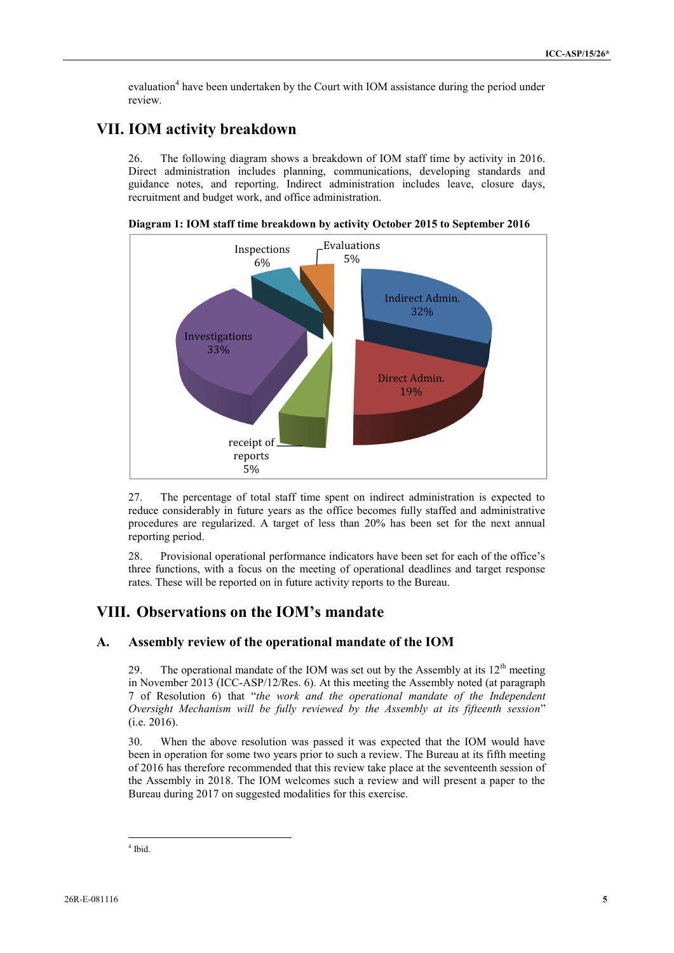evaluation<sup>4</sup> have been undertaken by the Court with IOM assistance during the period under review.

# **VII. IOM activity breakdown**

26. The following diagram shows a breakdown of IOM staff time by activity in 2016. Direct administration includes planning, communications, developing standards and guidance notes, and reporting. Indirect administration includes leave, closure days, recruitment and budget work, and office administration.



**Diagram 1: IOM staff time breakdown by activity October 2015 to September 2016**

27. The percentage of total staff time spent on indirect administration is expected to reduce considerably in future years as the office becomes fully staffed and administrative procedures are regularized. A target of less than 20% has been set for the next annual reporting period.

28. Provisional operational performance indicators have been set for each of the office's three functions, with a focus on the meeting of operational deadlines and target response rates. These will be reported on in future activity reports to the Bureau.

### **VIII. Observations on the IOM's mandate**

#### **A. Assembly review of the operational mandate of the IOM**

29. The operational mandate of the IOM was set out by the Assembly at its  $12<sup>th</sup>$  meeting in November 2013 (ICC-ASP/12/Res. 6). At this meeting the Assembly noted (at paragraph 7 of Resolution 6) that "*the work and the operational mandate of the Independent Oversight Mechanism will be fully reviewed by the Assembly at its fifteenth session*" (i.e. 2016).

30. When the above resolution was passed it was expected that the IOM would have been in operation for some two years prior to such a review. The Bureau at its fifth meeting of 2016 has therefore recommended that this review take place at the seventeenth session of the Assembly in 2018. The IOM welcomes such a review and will present a paper to the Bureau during 2017 on suggested modalities for this exercise.

 $4$  Ibid.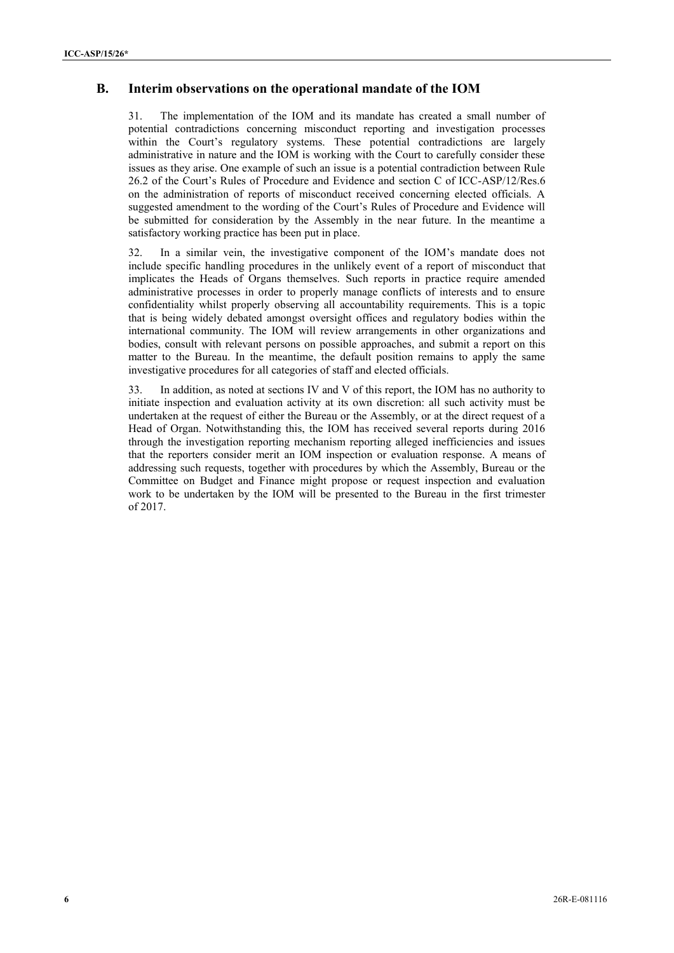#### **B.** <sup>6</sup> **Interim observations on the operational mandate of the IOM**

**Fig.** Interferm other systems on the operations can change of the FOM<br>
11. Later systems of the CMM significant canonical control to the control transformation processes<br>
present to exactly systems that the control term 31. The implementation of the IOM and its mandate has created a small number of potential contradictions concerning misconduct reporting and investigation processes within the Court's regulatory systems. These potential contradictions are largely administrative in nature and the IOM is working with the Court to carefully consider these issues as they arise. One example of such an issue is a potential contradiction between Rule 26.2 of the Court's Rules of Procedure and Evidence and section C of ICC-ASP/12/Res.6 on the administration of reports of misconduct received concerning elected officials. A suggested amendment to the wording of the Court's Rules of Procedure and Evidence will be submitted for consideration by the Assembly in the near future. In the meantime a satisfactory working practice has been put in place.

32. In a similar vein, the investigative component of the IOM's mandate does not include specific handling procedures in the unlikely event of a report of misconduct that implicates the Heads of Organs themselves. Such reports in practice require amended administrative processes in order to properly manage conflicts of interests and to ensure confidentiality whilst properly observing all accountability requirements. This is a topic that is being widely debated amongst oversight offices and regulatory bodies within the international community. The IOM will review arrangements in other organizations and bodies, consult with relevant persons on possible approaches, and submit a report on this matter to the Bureau. In the meantime, the default position remains to apply the same investigative procedures for all categories of staff and elected officials.

33. In addition, as noted at sections IV and V of this report, the IOM has no authority to initiate inspection and evaluation activity at its own discretion: all such activity must be undertaken at the request of either the Bureau or the Assembly, or at the direct request of a Head of Organ. Notwithstanding this, the IOM has received several reports during 2016 through the investigation reporting mechanism reporting alleged inefficiencies and issues that the reporters consider merit an IOM inspection or evaluation response. A means of addressing such requests, together with procedures by which the Assembly, Bureau or the Committee on Budget and Finance might propose or request inspection and evaluation work to be undertaken by the IOM will be presented to the Bureau in the first trimester of 2017.